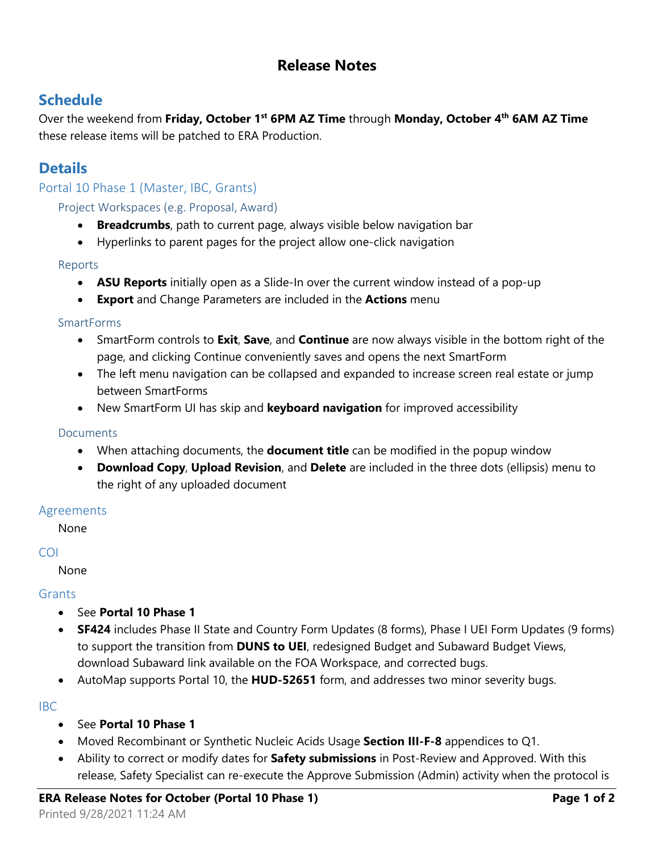# **Release Notes**

## **Schedule**

Over the weekend from **Friday, October 1st 6PM AZ Time** through **Monday, October 4th 6AM AZ Time**  these release items will be patched to ERA Production.

# **Details**

Portal 10 Phase 1 (Master, IBC, Grants)

Project Workspaces (e.g. Proposal, Award)

- **Breadcrumbs**, path to current page, always visible below navigation bar
- Hyperlinks to parent pages for the project allow one-click navigation

#### Reports

- **ASU Reports** initially open as a Slide-In over the current window instead of a pop-up
- **Export** and Change Parameters are included in the **Actions** menu

#### **SmartForms**

- SmartForm controls to **Exit**, **Save**, and **Continue** are now always visible in the bottom right of the page, and clicking Continue conveniently saves and opens the next SmartForm
- The left menu navigation can be collapsed and expanded to increase screen real estate or jump between SmartForms
- New SmartForm UI has skip and **keyboard navigation** for improved accessibility

#### Documents

- When attaching documents, the **document title** can be modified in the popup window
- **Download Copy**, **Upload Revision**, and **Delete** are included in the three dots (ellipsis) menu to the right of any uploaded document

### Agreements

None

#### COI

None

### **Grants**

- See **Portal 10 Phase 1**
- **SF424** includes Phase II State and Country Form Updates (8 forms), Phase I UEI Form Updates (9 forms) to support the transition from **DUNS to UEI**, redesigned Budget and Subaward Budget Views, download Subaward link available on the FOA Workspace, and corrected bugs.
- AutoMap supports Portal 10, the **HUD-52651** form, and addresses two minor severity bugs.

#### IBC

- See **Portal 10 Phase 1**
- Moved Recombinant or Synthetic Nucleic Acids Usage **Section III-F-8** appendices to Q1.
- Ability to correct or modify dates for **Safety submissions** in Post-Review and Approved. With this release, Safety Specialist can re-execute the Approve Submission (Admin) activity when the protocol is